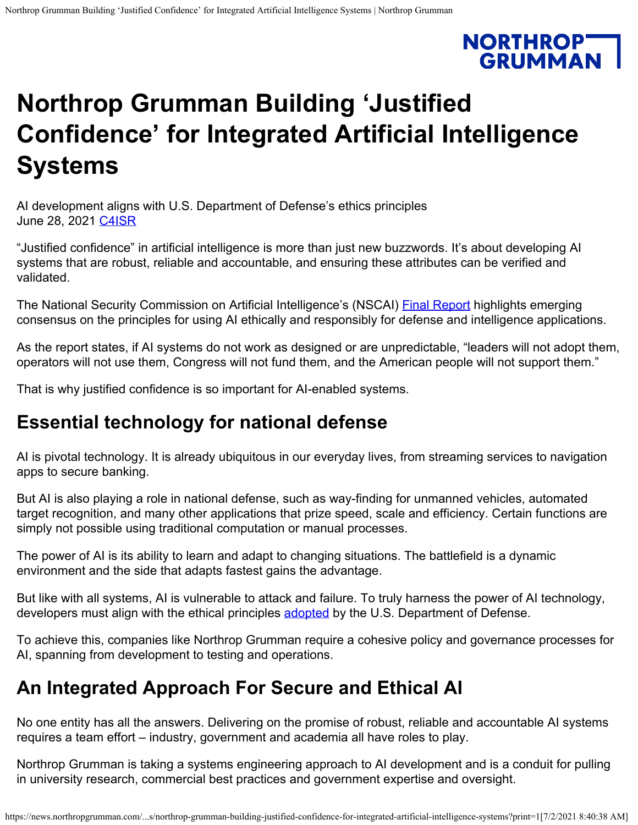# **NORTHROPT**<br>GRUMMAN

## **Northrop Grumman Building 'Justified Confidence' for Integrated Artificial Intelligence Systems**

AI development aligns with U.S. Department of Defense's ethics principles June 28, 2021 <u>[C4ISR](https://news.northropgrumman.com/news/c4isr?c=25298)</u>

"Justified confidence" in artificial intelligence is more than just new buzzwords. It's about developing AI systems that are robust, reliable and accountable, and ensuring these attributes can be verified and validated.

The National Security Commission on Artificial Intelligence's (NSCAI) **Final Report** highlights emerging consensus on the principles for using AI ethically and responsibly for defense and intelligence applications.

As the report states, if AI systems do not work as designed or are unpredictable, "leaders will not adopt them, operators will not use them, Congress will not fund them, and the American people will not support them."

That is why justified confidence is so important for AI-enabled systems.

#### **Essential technology for national defense**

AI is pivotal technology. It is already ubiquitous in our everyday lives, from streaming services to navigation apps to secure banking.

But AI is also playing a role in national defense, such as way-finding for unmanned vehicles, automated target recognition, and many other applications that prize speed, scale and efficiency. Certain functions are simply not possible using traditional computation or manual processes.

The power of AI is its ability to learn and adapt to changing situations. The battlefield is a dynamic environment and the side that adapts fastest gains the advantage.

But like with all systems, AI is vulnerable to attack and failure. To truly harness the power of AI technology, developers must align with the ethical principles **[adopted](https://www.defense.gov/Newsroom/Releases/Release/Article/2091996/dod-adopts-ethical-principles-for-artificial-intelligence/)** by the U.S. Department of Defense.

To achieve this, companies like Northrop Grumman require a cohesive policy and governance processes for AI, spanning from development to testing and operations.

### **An Integrated Approach For Secure and Ethical AI**

No one entity has all the answers. Delivering on the promise of robust, reliable and accountable AI systems requires a team effort – industry, government and academia all have roles to play.

Northrop Grumman is taking a systems engineering approach to AI development and is a conduit for pulling in university research, commercial best practices and government expertise and oversight.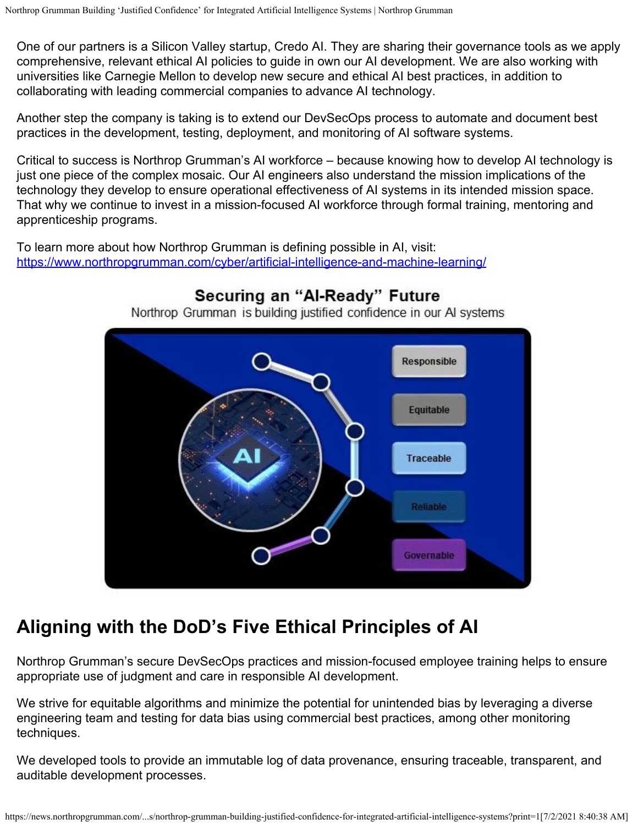One of our partners is a Silicon Valley startup, Credo AI. They are sharing their governance tools as we apply comprehensive, relevant ethical AI policies to guide in own our AI development. We are also working with universities like Carnegie Mellon to develop new secure and ethical AI best practices, in addition to collaborating with leading commercial companies to advance AI technology.

Another step the company is taking is to extend our DevSecOps process to automate and document best practices in the development, testing, deployment, and monitoring of AI software systems.

Critical to success is Northrop Grumman's AI workforce – because knowing how to develop AI technology is just one piece of the complex mosaic. Our AI engineers also understand the mission implications of the technology they develop to ensure operational effectiveness of AI systems in its intended mission space. That why we continue to invest in a mission-focused AI workforce through formal training, mentoring and apprenticeship programs.

To learn more about how Northrop Grumman is defining possible in AI, visit: <https://www.northropgrumman.com/cyber/artificial-intelligence-and-machine-learning/>



#### Securing an "Al-Ready" Future

Northrop Grumman is building justified confidence in our AI systems

#### **Aligning with the DoD's Five Ethical Principles of AI**

Northrop Grumman's secure DevSecOps practices and mission-focused employee training helps to ensure appropriate use of judgment and care in responsible AI development.

We strive for equitable algorithms and minimize the potential for unintended bias by leveraging a diverse engineering team and testing for data bias using commercial best practices, among other monitoring techniques.

We developed tools to provide an immutable log of data provenance, ensuring traceable, transparent, and auditable development processes.